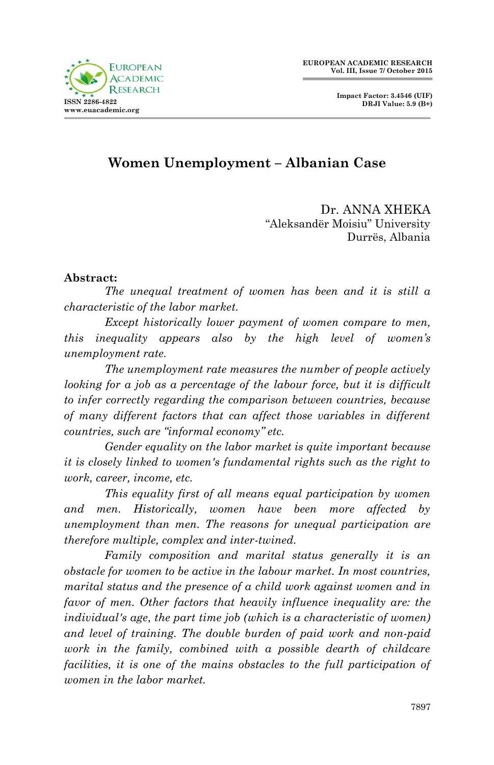

# **Women Unemployment – Albanian Case**

Dr. ANNA XHEKA "Aleksandër Moisiu" University Durrës, Albania

### **Abstract:**

*The unequal treatment of women has been and it is still a characteristic of the labor market.* 

*Except historically lower payment of women compare to men, this inequality appears also by the high level of women's unemployment rate.*

*The unemployment rate measures the number of people actively looking for a job as a percentage of the labour force, but it is difficult to infer correctly regarding the comparison between countries, because of many different factors that can affect those variables in different countries, such are "informal economy" etc.* 

*Gender equality on the labor market is quite important because it is closely linked to women's fundamental rights such as the right to work, career, income, etc.*

*This equality first of all means equal participation by women and men. Historically, women have been more affected by unemployment than men. The reasons for unequal participation are therefore multiple, complex and inter-twined.* 

*Family composition and marital status generally it is an obstacle for women to be active in the labour market. In most countries, marital status and the presence of a child work against women and in favor of men. Other factors that heavily influence inequality are: the individual's age, the part time job (which is a characteristic of women) and level of training. The double burden of paid work and non-paid work in the family, combined with a possible dearth of childcare facilities, it is one of the mains obstacles to the full participation of women in the labor market.*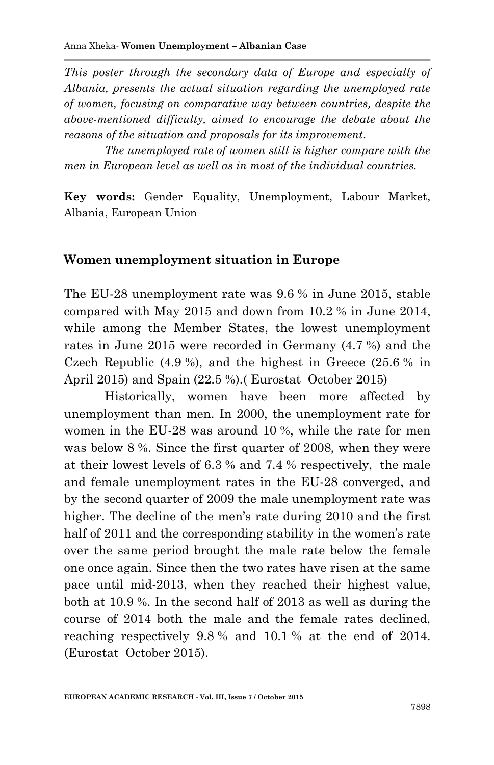*This poster through the secondary data of Europe and especially of Albania, presents the actual situation regarding the unemployed rate of women, focusing on comparative way between countries, despite the above-mentioned difficulty, aimed to encourage the debate about the reasons of the situation and proposals for its improvement.*

*The unemployed rate of women still is higher compare with the men in European level as well as in most of the individual countries.*

**Key words:** Gender Equality, Unemployment, Labour Market, Albania, European Union

#### **Women unemployment situation in Europe**

The EU-28 unemployment rate was 9.6 % in June 2015, stable compared with May 2015 and down from 10.2 % in June 2014, while among the Member States, the lowest unemployment rates in June 2015 were recorded in Germany (4.7 %) and the Czech Republic (4.9 %), and the highest in Greece (25.6 % in April 2015) and Spain (22.5 %).( Eurostat October 2015)

Historically, women have been more affected by unemployment than men. In 2000, the unemployment rate for women in the EU-28 was around 10 %, while the rate for men was below 8 %. Since the first quarter of 2008, when they were at their lowest levels of 6.3 % and 7.4 % respectively, the male and female unemployment rates in the EU-28 converged, and by the second quarter of 2009 the male unemployment rate was higher. The decline of the men's rate during 2010 and the first half of 2011 and the corresponding stability in the women's rate over the same period brought the male rate below the female one once again. Since then the two rates have risen at the same pace until mid-2013, when they reached their highest value, both at 10.9 %. In the second half of 2013 as well as during the course of 2014 both the male and the female rates declined, reaching respectively 9.8 % and 10.1 % at the end of 2014. (Eurostat October 2015).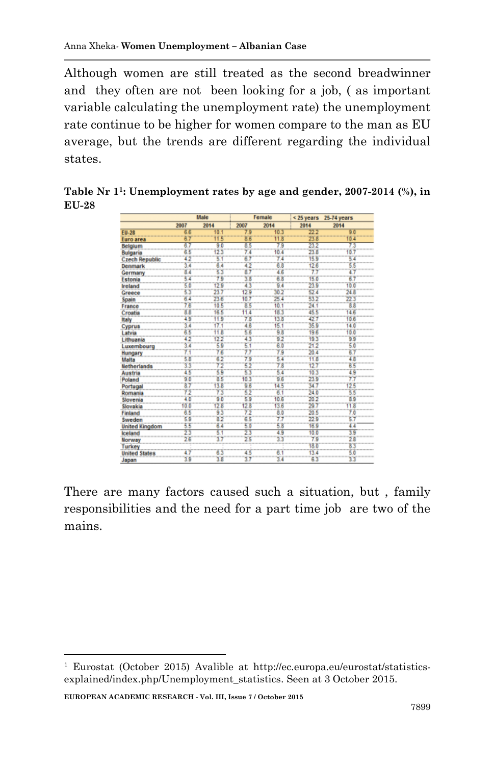Although women are still treated as the second breadwinner and they often are not been looking for a job, ( as important variable calculating the unemployment rate) the unemployment rate continue to be higher for women compare to the man as EU average, but the trends are different regarding the individual states.

**Table Nr 1<sup>1</sup>: Unemployment rates by age and gender, 2007-2014 (%), in EU-28**

|                       | Male |      | Female |      | $<$ 25 years | 25-74 years |
|-----------------------|------|------|--------|------|--------------|-------------|
|                       | 2007 | 2014 | 2007   | 2014 | 2014         | 2014        |
| <b>EU-28</b>          | 6.6  | 10.1 | 7.9    | 10.3 | 22.2         | 90          |
| Euro area             | 6.7  | 11.5 | 86     | 11.8 | 23.8         | 10.4        |
| Belgium               | 67   | 9.0  | 85     | 79   | 23.2         | 73          |
| Bulgaria              | 6.5  | 12.3 | 7.4    | 10.4 | 23.8         | 10.7        |
| <b>Czech Republic</b> | 42   | 5.1  | 67     | 74   | 15.9         | 5.4         |
| Denmark               | 34   | 64   | 42     | 6.8  | 12.6         | 55          |
| Germany               | 8.4  | 5.3  | 87     | 4.6  | 77           | 4.7         |
| Estonia               | 5.4  | 7.9  | 3.8    | 6.8  | 15.0         | 67          |
| <b>Ireland</b>        | 5.0  | 12.9 | 43     | 9.4  | 23.9         | 10.0        |
| Greece                | 5.3  | 23.7 | 129    | 30.2 | 52.4         | 24.8        |
| Spain                 | 6.4  | 23.6 | 10.7   | 25.4 | 53.2         | 223         |
| France                | 78   | 10.5 | 85     | 10.1 | 24.1         | 88          |
| Croatia               | 8.8  | 16.5 | 11.4   | 18.3 | 45.5         | 14.6        |
| Italy                 | 49   | 11.9 | 7.8    | 13.8 | 42.7         | 10.6        |
| <b>Cyprus</b>         | 3.4  | 17.1 | 4.6    | 15.1 | 35.9         | 14.0        |
| Latvia                | 6.5  | 11.8 | 5.6    | 9.8  | 19.6         | 10.0        |
| Lithuania             | 42   | 12.2 | 43     | 92   | 19.3         | 99          |
| Luxembourg            | 3.4  | 5.9  | 5.1    | 6.0  | 21.2         | 5.0         |
| Hungary               | 7.1  | 76   | 77     | 79   | 20.4         | 67          |
| Malta                 | 5.8  | 6.2  | 79     | 5.4  | 11.8         | 4.8         |
| <b>Netherlands</b>    | 33   | 72   | 52     | 78   | 12.7         | 65          |
| <b>Austria</b>        | 43   | 5.9  | 53     | 6.4  | 10.3         | 49          |
| Poland                | 9.0  | 8.5  | 103    | 96   | 23.9         | 77          |
| Portugal              | 87   | 13.8 | 98     | 14.5 | 347          | 125         |
| Romania               | 72   | 73   | 62     | 6.1  | 24.0         | 5.5         |
| Slovenia              | 4.0  | 9.0  | 59     | 10.6 | 20.2         | 89          |
| Slovakia              | 10.0 | 12.8 | 128    | 13.6 | 29.7         | 11.8        |
| Finland               | 63   | 9.3  | 72     | 8.0  | 20.5         | 7.0         |
| Sweden                | 5.9  | 8.2  | 65     | 77   | 22.9         | 57          |
| <b>United Kingdom</b> | 5.5  | 6.4  | 5.0    | 5.8  | 16.9         | 4.4         |
| Iceland               | 23   | 6.1  | 23     | 49   | 10.0         | 39          |
| Norway                | 2.6  | 3.7  | 25     | 3.3  | 7.9          | 28          |
| <b>Turkey</b>         |      |      |        |      | 18.0         | 83          |
| <b>United States</b>  | 4.7  | 63   | 45     | 6.1  | 13.4         | 5.0         |
| Janan                 | 3.9  | 3.8  | 37     | 3.4  | 6.3          | 33          |

There are many factors caused such a situation, but , family responsibilities and the need for a part time job are two of the mains.

**EUROPEAN ACADEMIC RESEARCH - Vol. III, Issue 7 / October 2015**

1

<sup>1</sup> Eurostat (October 2015) Avalible at http://ec.europa.eu/eurostat/statisticsexplained/index.php/Unemployment\_statistics. Seen at 3 October 2015.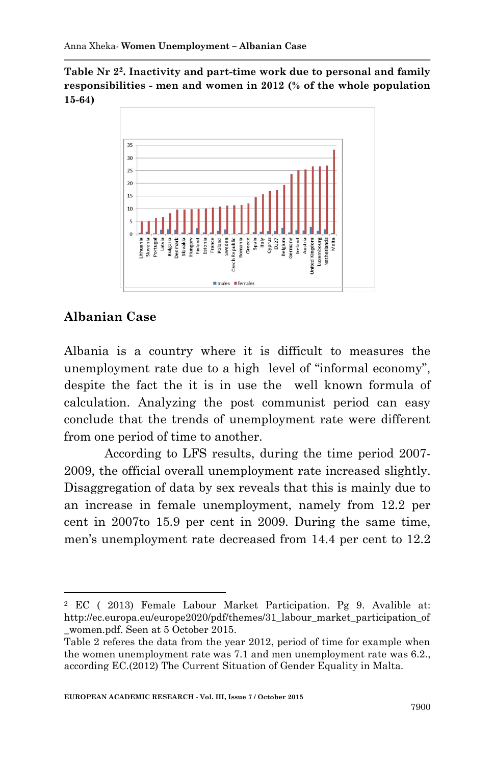**Table Nr 2<sup>2</sup>. Inactivity and part-time work due to personal and family responsibilities - men and women in 2012 (% of the whole population 15-64)**



# **Albanian Case**

1

Albania is a country where it is difficult to measures the unemployment rate due to a high level of "informal economy", despite the fact the it is in use the well known formula of calculation. Analyzing the post communist period can easy conclude that the trends of unemployment rate were different from one period of time to another.

According to LFS results, during the time period 2007- 2009, the official overall unemployment rate increased slightly. Disaggregation of data by sex reveals that this is mainly due to an increase in female unemployment, namely from 12.2 per cent in 2007to 15.9 per cent in 2009. During the same time, men's unemployment rate decreased from 14.4 per cent to 12.2

<sup>2</sup> EC ( 2013) Female Labour Market Participation. Pg 9. Avalible at: http://ec.europa.eu/europe2020/pdf/themes/31\_labour\_market\_participation\_of \_women.pdf. Seen at 5 October 2015.

Table 2 referes the data from the year 2012, period of time for example when the women unemployment rate was 7.1 and men unemployment rate was 6.2., according EC.(2012) The Current Situation of Gender Equality in Malta.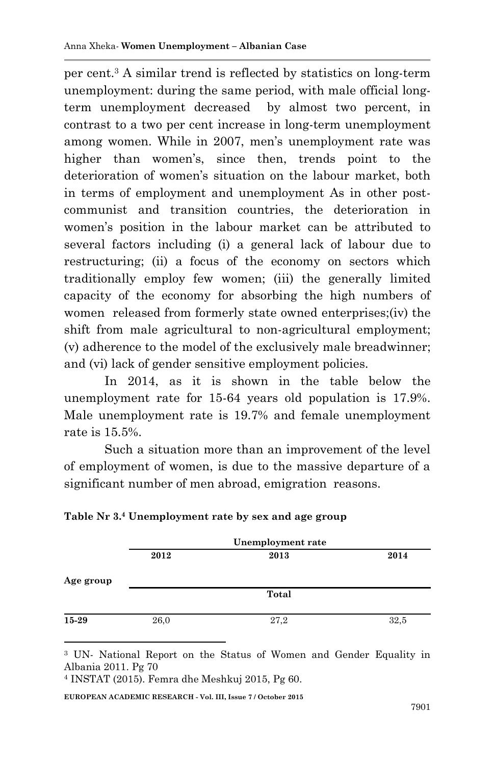per cent.<sup>3</sup> A similar trend is reflected by statistics on long-term unemployment: during the same period, with male official longterm unemployment decreased by almost two percent, in contrast to a two per cent increase in long-term unemployment among women. While in 2007, men's unemployment rate was higher than women's, since then, trends point to the deterioration of women's situation on the labour market, both in terms of employment and unemployment As in other postcommunist and transition countries, the deterioration in women's position in the labour market can be attributed to several factors including (i) a general lack of labour due to restructuring; (ii) a focus of the economy on sectors which traditionally employ few women; (iii) the generally limited capacity of the economy for absorbing the high numbers of women released from formerly state owned enterprises;(iv) the shift from male agricultural to non-agricultural employment; (v) adherence to the model of the exclusively male breadwinner; and (vi) lack of gender sensitive employment policies.

In 2014, as it is shown in the table below the unemployment rate for 15-64 years old population is 17.9%. Male unemployment rate is 19.7% and female unemployment rate is 15.5%.

Such a situation more than an improvement of the level of employment of women, is due to the massive departure of a significant number of men abroad, emigration reasons.

|           | Unemployment rate |       |      |  |  |  |
|-----------|-------------------|-------|------|--|--|--|
|           | 2012              | 2013  | 2014 |  |  |  |
| Age group |                   |       |      |  |  |  |
|           |                   | Total |      |  |  |  |
| 15-29     | 26,0              | 27,2  | 32,5 |  |  |  |

### **Table Nr 3.<sup>4</sup> Unemployment rate by sex and age group**

<sup>4</sup> INSTAT (2015). Femra dhe Meshkuj 2015, Pg 60.

1

**EUROPEAN ACADEMIC RESEARCH - Vol. III, Issue 7 / October 2015**

<sup>3</sup> UN- National Report on the Status of Women and Gender Equality in Albania 2011. Pg 70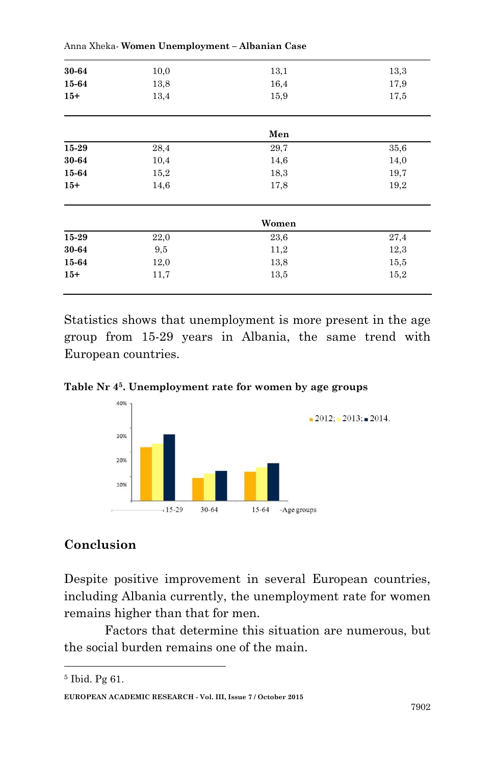| 30-64     | 10,0 | 13,1  | 13,3 |
|-----------|------|-------|------|
| 15-64     | 13,8 | 16,4  | 17,9 |
| $15+$     | 13,4 | 15,9  | 17,5 |
|           |      | Men   |      |
| 15-29     | 28,4 | 29,7  | 35,6 |
| 30-64     | 10,4 | 14,6  | 14,0 |
| 15-64     | 15,2 | 18,3  | 19,7 |
| $15+$     | 14,6 | 17,8  | 19,2 |
|           |      | Women |      |
| $15 - 29$ | 22,0 | 23,6  | 27,4 |
| 30-64     | 9,5  | 11,2  | 12,3 |
| 15-64     | 12,0 | 13,8  | 15,5 |
| $15+$     | 11,7 | 13,5  | 15,2 |
|           |      |       |      |

Anna Xheka*-* **Women Unemployment – Albanian Case** 

Statistics shows that unemployment is more present in the age group from 15-29 years in Albania, the same trend with European countries.

**Table Nr 4<sup>5</sup>. Unemployment rate for women by age groups**



### **Conclusion**

Despite positive improvement in several European countries, including Albania currently, the unemployment rate for women remains higher than that for men.

Factors that determine this situation are numerous, but the social burden remains one of the main.

**.** 

<sup>5</sup> Ibid. Pg 61.

**EUROPEAN ACADEMIC RESEARCH - Vol. III, Issue 7 / October 2015**